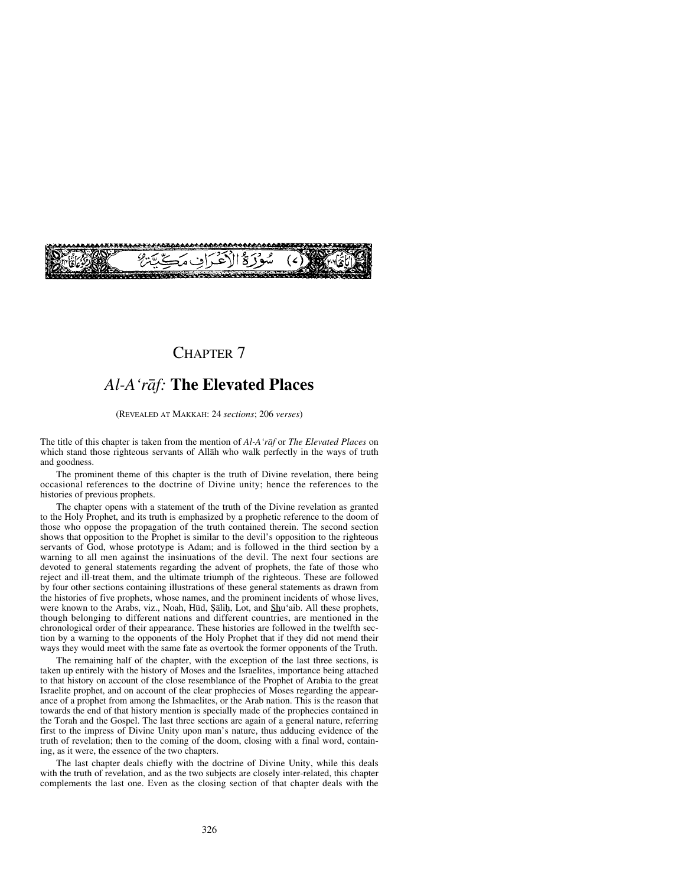## CHAPTER 7

# *Al-A'råf:* **The Elevated Places**

(REVEALED AT MAKKAH: 24 *sections*; 206 *verses*)

The title of this chapter is taken from the mention of *Al-A'råf* or *The Elevated Places* on which stand those righteous servants of Allåh who walk perfectly in the ways of truth and goodness.

The prominent theme of this chapter is the truth of Divine revelation, there being occasional references to the doctrine of Divine unity; hence the references to the histories of previous prophets.

The chapter opens with a statement of the truth of the Divine revelation as granted to the Holy Prophet, and its truth is emphasized by a prophetic reference to the doom of those who oppose the propagation of the truth contained therein. The second section shows that opposition to the Prophet is similar to the devil's opposition to the righteous servants of God, whose prototype is Adam; and is followed in the third section by a warning to all men against the insinuations of the devil. The next four sections are devoted to general statements regarding the advent of prophets, the fate of those who reject and ill-treat them, and the ultimate triumph of the righteous. These are followed by four other sections containing illustrations of these general statements as drawn from the histories of five prophets, whose names, and the prominent incidents of whose lives, were known to the Arabs, viz., Noah, Hūd, Şāliḥ, Lot, and Shu'aib. All these prophets, though belonging to different nations and different countries, are mentioned in the chronological order of their appearance. These histories are followed in the twelfth section by a warning to the opponents of the Holy Prophet that if they did not mend their ways they would meet with the same fate as overtook the former opponents of the Truth.

The remaining half of the chapter, with the exception of the last three sections, is taken up entirely with the history of Moses and the Israelites, importance being attached to that history on account of the close resemblance of the Prophet of Arabia to the great Israelite prophet, and on account of the clear prophecies of Moses regarding the appearance of a prophet from among the Ishmaelites, or the Arab nation. This is the reason that towards the end of that history mention is specially made of the prophecies contained in the Torah and the Gospel. The last three sections are again of a general nature, referring first to the impress of Divine Unity upon man's nature, thus adducing evidence of the truth of revelation; then to the coming of the doom, closing with a final word, containing, as it were, the essence of the two chapters.

The last chapter deals chiefly with the doctrine of Divine Unity, while this deals with the truth of revelation, and as the two subjects are closely inter-related, this chapter complements the last one. Even as the closing section of that chapter deals with the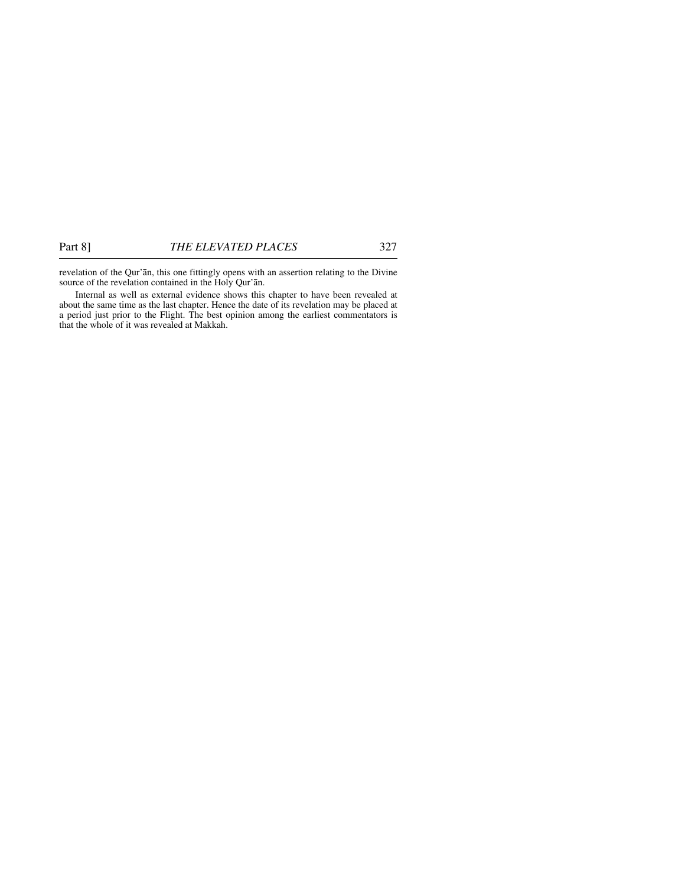revelation of the Qur'ån, this one fittingly opens with an assertion relating to the Divine source of the revelation contained in the Holy Qur'ån.

Internal as well as external evidence shows this chapter to have been revealed at about the same time as the last chapter. Hence the date of its revelation may be placed at a period just prior to the Flight. The best opinion among the earliest commentators is that the whole of it was revealed at Makkah.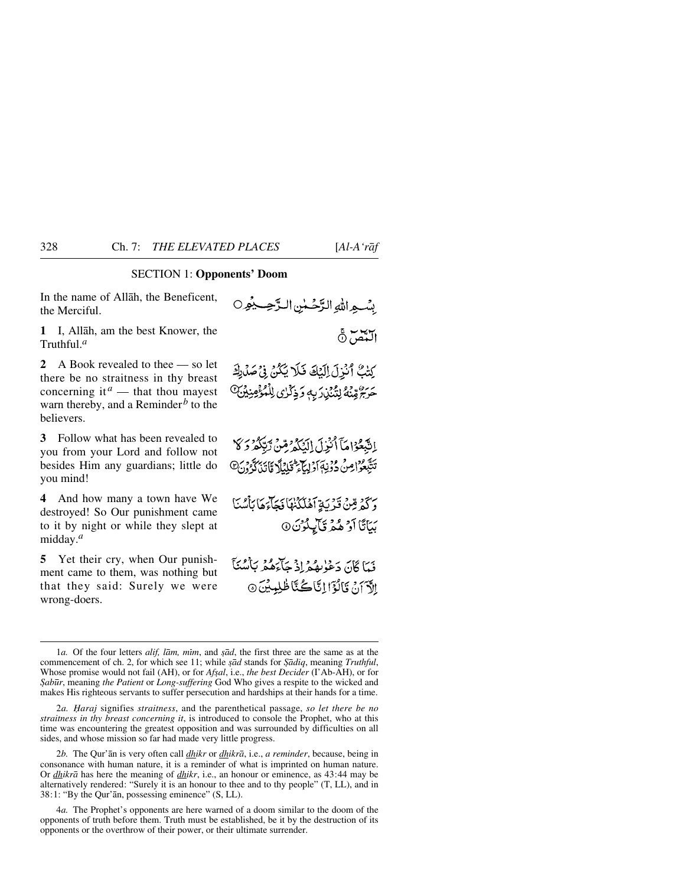### SECTION 1: **Opponents' Doom**

In the name of Allåh, the Beneficent, the Merciful.

**1** I, Allåh, am the best Knower, the Truthful.*<sup>a</sup>*

**2** A Book revealed to thee — so let there be no straitness in thy breast concerning it  $a$  — that thou may est warn thereby, and a Reminder<sup> $b$ </sup> to the believers.

**3** Follow what has been revealed to you from your Lord and follow not besides Him any guardians; little do you mind!

**4** And how many a town have We destroyed! So Our punishment came to it by night or while they slept at midday.*<sup>a</sup>*

**5** Yet their cry, when Our punishment came to them, was nothing but that they said: Surely we were wrong-doers.

بسبع الله الرَّحُسُن الرَّحِبُّهِ اللَّغْمَ نَّ كِتْبٌ أَنْزِلَ الِّيْكَ فَلَا يَكُنُ فِي صَلَّاكَ

حَرَجٌ مِّنْهُ لِتُنْبُدَ بِهِ وَذِكْرُى لِلْمُؤْمِنِينَ ۖ

إِنَّبِعُوْاهَآ أَنْزِلَ إِلَيْكُمْ مِمِّنْ تِبَكُّهُ وَكَا تَتَّبْعُواْصُ دُوۡنِهَٓآدَابِيَّآءَ قَلِيۡلَآ مَّاتَيۡنَٰكَّوۡوَنَ۞

وَكَمْ قِينْ قَدْيَةِ آَهُلَكُنْهَا فَجَآءَهَا بِأَسْنَا بَيَاتًا أَوْ هُمْ قَايِلُوْنَ @

فَهَا كَانَ دَعْلَاهُ فِي إِذْ جَاءَهُمْ بِٱلْبُيْئَا الآدَانِ فَالْذَانَاتُ كُنَّا ظُلِمِيْنَ ۞

2*b.* The Qur'ån is very often call *dhikr* or *dhikrå*, i.e., *a reminder*, because, being in consonance with human nature, it is a reminder of what is imprinted on human nature. Or *dhikrå* has here the meaning of *dhikr*, i.e., an honour or eminence, as 43:44 may be alternatively rendered: "Surely it is an honour to thee and to thy people" (T, LL), and in 38:1: "By the Qur'ån, possessing eminence" (S, LL).

4*a.* The Prophet's opponents are here warned of a doom similar to the doom of the opponents of truth before them. Truth must be established, be it by the destruction of its opponents or the overthrow of their power, or their ultimate surrender.

<sup>1</sup>*a*. Of the four letters *alif, lam, mim,* and *§ad*, the first three are the same as at the commencement of ch. 2, for which see 11; while *şād* stands for *Şādiq*, meaning *Truthful*, Whose promise would not fail (AH), or for *Afsal*, i.e., *the best Decider* (I'Ab-AH), or for *˝ab∂r*, meaning *the Patient* or *Long-suffering* God Who gives a respite to the wicked and makes His righteous servants to suffer persecution and hardships at their hands for a time.

<sup>2</sup>*a. Ïaraj* signifies *straitness*, and the parenthetical passage, *so let there be no straitness in thy breast concerning it*, is introduced to console the Prophet, who at this time was encountering the greatest opposition and was surrounded by difficulties on all sides, and whose mission so far had made very little progress.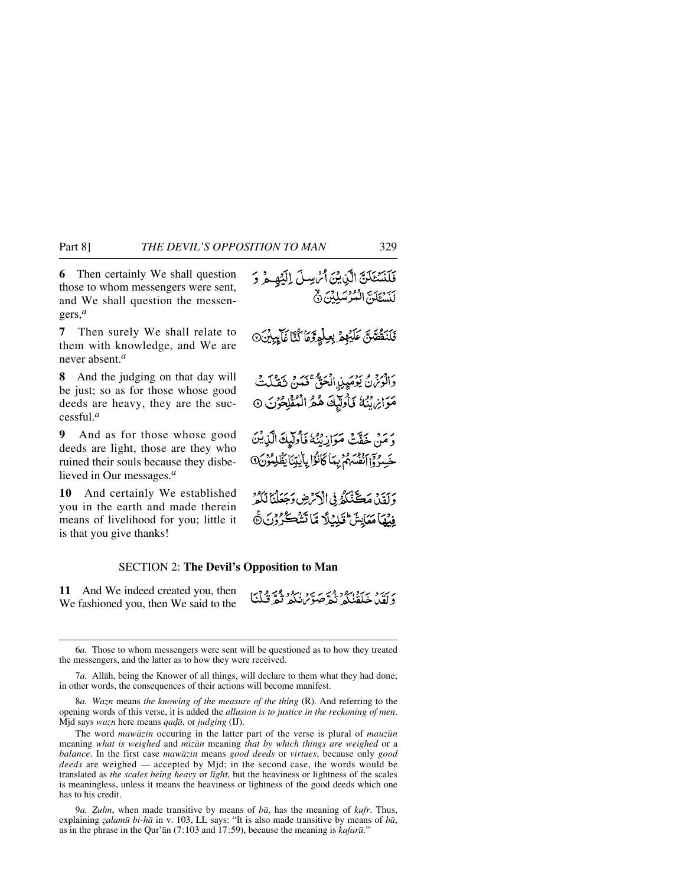**6** Then certainly We shall question those to whom messengers were sent, and We shall question the messengers,*<sup>a</sup>*

**7** Then surely We shall relate to them with knowledge, and We are never absent.*<sup>a</sup>*

**8** And the judging on that day will be just; so as for those whose good deeds are heavy, they are the successful.*<sup>a</sup>*

**9** And as for those whose good deeds are light, those are they who ruined their souls because they disbelieved in Our messages.*<sup>a</sup>*

**10** And certainly We established you in the earth and made therein means of livelihood for you; little it is that you give thanks!

فَلَنْسُتَكَنَّ الَّذِينَ أَمُّ سِلَّ إِلَيْهِ مِ وَ لَنَسْتَكَنَّ الْمُرْسَلِيْنَ  $\delta$ فَلَنَقُصَنَّ عَلَيۡهِمۡ بِعِلۡمِرَّوۡهَا كُنَّآ غَآيِبِيۡنَ۞ دَانْرَ فِي يَوْمَيِنِ الْحَقَّ فَمَنْ تَقَتَلْتُ مَوَائِرِيَّتُهُ فَأُولَيْكَ هُمُّ الْمُؤْلِكُونَ ۞ وَمَنْ خَفَّتْ مَوَازِيْتُهُ فَأُولَيْكَ الَّذِيْنَ خَسِرُ وَالضَّهْمُ بِمَا كَانُوْا بِالْيِتِنَا يَظْلِمُوْنَ@ وَلَقِيْلٌ مَڪَنَّكُمُّ فِي الْأَمَرُضِ وَجَعَلْنَا لَكُمُّ ِفِيْهَا مَعَايِشٌ قَبْلِنَادٌ مِّا تَشْڪُرُونَ۞

## SECTION 2: **The Devil's Opposition to Man**

**11** And We indeed created you, then We fashioned you, then We said to the

ديبيو بجدة الدويجة صور الدوقية فيلنا

<sup>6</sup>*a.* Those to whom messengers were sent will be questioned as to how they treated the messengers, and the latter as to how they were received.

<sup>7</sup>*a.* Allåh, being the Knower of all things, will declare to them what they had done; in other words, the consequences of their actions will become manifest.

<sup>8</sup>*a. Wazn* means *the knowing of the measure of the thing* (R). And referring to the opening words of this verse, it is added the *allusion is to justice in the reckoning of men*. Mjd says *wazn* here means *qadā*, or *judging* (IJ).

The word *mawåzin* occuring in the latter part of the verse is plural of *mauz∂n* meaning *what is weighed* and *mßzån* meaning *that by which things are weighed* or a *balance*. In the first case *mawåzßn* means *good deeds* or *virtues*, because only *good deeds* are weighed — accepted by Mjd; in the second case, the words would be translated as *the scales being heavy* or *light*, but the heaviness or lightness of the scales is meaningless, unless it means the heaviness or lightness of the good deeds which one has to his credit.

<sup>9</sup>*a. Òulm*, when made transitive by means of *bå*, has the meaning of *kufr*. Thus, explaining *˚alam∂ bi-hå* in v. 103, LL says: "It is also made transitive by means of *bå*, as in the phrase in the Qur'ån (7:103 and 17:59), because the meaning is *kafar∂*."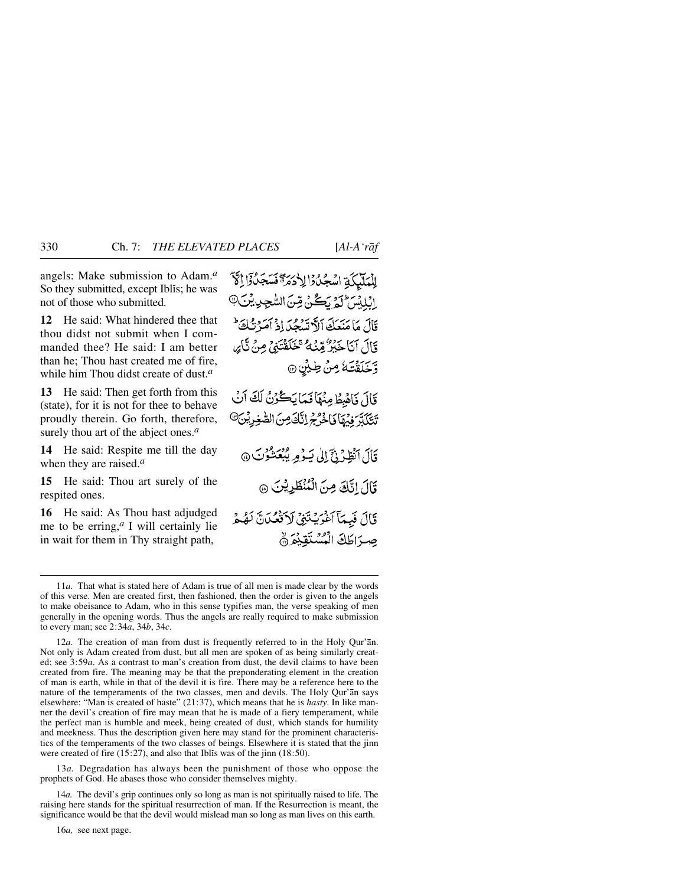angels: Make submission to Adam.*<sup>a</sup>* So they submitted, except Iblis; he was not of those who submitted.

**12** He said: What hindered thee that thou didst not submit when I commanded thee? He said: I am better than he; Thou hast created me of fire, while him Thou didst create of dust.*<sup>a</sup>*

**13** He said: Then get forth from this (state), for it is not for thee to behave proudly therein. Go forth, therefore, surely thou art of the abject ones.*<sup>a</sup>*

**14** He said: Respite me till the day when they are raised.*<sup>a</sup>*

**15** He said: Thou art surely of the respited ones.

**16** He said: As Thou hast adjudged me to be erring, $a \in I$  will certainly lie in wait for them in Thy straight path,

لِلْمَلَيْكَةِ اسْجُدُوْالِلْهُوَ تَسَجَدُوْا إِلَاَّ الْلِلْسَ لَمَ يَكُنْ قِنَ السُّجِدِيِّنَّ@ قَالَ مَا مَنْعَكَ ٱلاَّتِسْجُدَادُ أَمَرْتُكَ قَالَ أَنَا خَبْرٌ مِّنْهُ مُتَحَلَّقَتَنِي مِنْ تَأْيِرِ وَّخَلَقْتَهُ مِنْ طِيْنِ ۞

قَالَ فَأَهْبِطُ مِنْهَا فَيَمَا يَكُوْنُ لَكَ أَنْ تَتَكَبَّرَ فِيُهَا فَاخْرُجُ إِنَّكَ مِنَ الصَّغِرِيْنَ<sup>@</sup>

قَالَ انْظِرُنِيَّ إِلَىٰ يَوْمِ يُبْعَشُوْنَ @ قَالَ إِنَّكَ مِنَ الْمُنْظَرِيْنَ ۞

قَالَ فَبِمَآَ آَخْرَيْتَنِي لَاَتَّصُلَنَّ لَهُمْ صرَاطَكَ الْمُسْتَقِيْعَ ۞

12*a.* The creation of man from dust is frequently referred to in the Holy Qur'ån. Not only is Adam created from dust, but all men are spoken of as being similarly created; see 3:59*a*. As a contrast to man's creation from dust, the devil claims to have been created from fire. The meaning may be that the preponderating element in the creation of man is earth, while in that of the devil it is fire. There may be a reference here to the nature of the temperaments of the two classes, men and devils. The Holy Qur'ån says elsewhere: "Man is created of haste" (21:37), which means that he is *hasty*. In like manner the devil's creation of fire may mean that he is made of a fiery temperament, while the perfect man is humble and meek, being created of dust, which stands for humility and meekness. Thus the description given here may stand for the prominent characteristics of the temperaments of the two classes of beings. Elsewhere it is stated that the jinn were created of fire  $(15:27)$ , and also that Iblis was of the jinn  $(18:50)$ .

13*a.* Degradation has always been the punishment of those who oppose the prophets of God. He abases those who consider themselves mighty.

14*a.* The devil's grip continues only so long as man is not spiritually raised to life. The raising here stands for the spiritual resurrection of man. If the Resurrection is meant, the significance would be that the devil would mislead man so long as man lives on this earth.

16*a,* see next page.

<sup>11</sup>*a.* That what is stated here of Adam is true of all men is made clear by the words of this verse. Men are created first, then fashioned, then the order is given to the angels to make obeisance to Adam, who in this sense typifies man, the verse speaking of men generally in the opening words. Thus the angels are really required to make submission to every man; see 2:34*a*, 34*b*, 34*c*.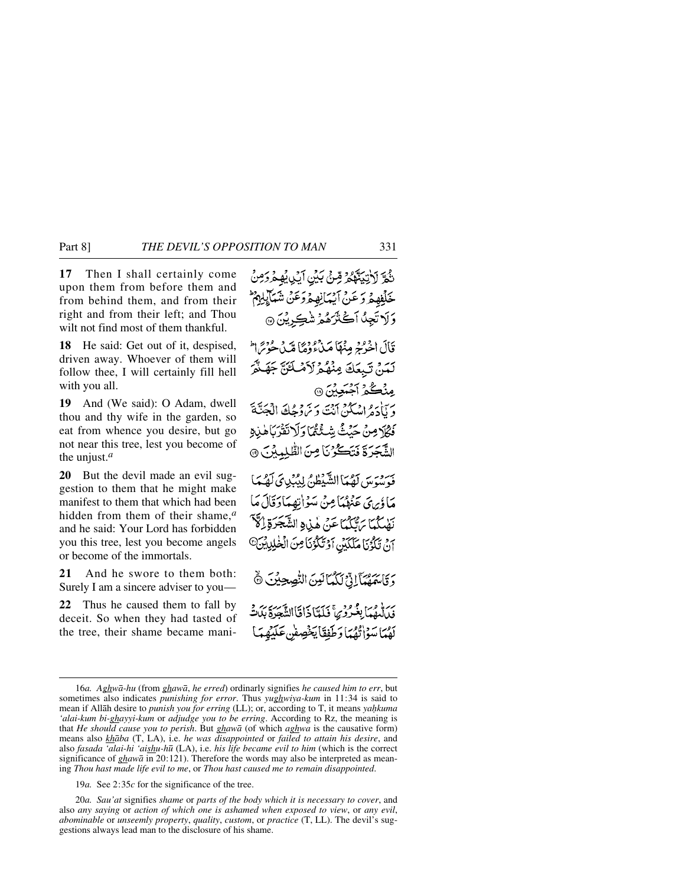**17** Then I shall certainly come upon them from before them and from behind them, and from their right and from their left; and Thou wilt not find most of them thankful.

**18** He said: Get out of it, despised, driven away. Whoever of them will follow thee, I will certainly fill hell with you all.

**19** And (We said): O Adam, dwell thou and thy wife in the garden, so eat from whence you desire, but go not near this tree, lest you become of the unjust.*<sup>a</sup>*

**20** But the devil made an evil suggestion to them that he might make manifest to them that which had been hidden from them of their shame,*<sup>a</sup>* and he said: Your Lord has forbidden you this tree, lest you become angels or become of the immortals.

**21** And he swore to them both: Surely I am a sincere adviser to you—

**22** Thus he caused them to fall by deceit. So when they had tasted of the tree, their shame became mani-

نَّحْرَ لَأَبْنِيَتَّهُمْ قِسْ بِكِينِ أَيْبِ يُهِ مُرْدَمِنُ خَلِّفِهِ هُ وَ عَنْ آَيْهَانِهِ هُ وَعَنْ شَيَابِكِهِ ثَمَّ وَلَا تَجِدُّ أَكَثَرَهُمْ شَڪِرِيْنَ ۞ قَالَ اخْرُمْهِ مِنْهَاَ مَدْءُوْهُمَا مِّيدُ حُوْسًرا لَمَنْ تَبِعَكَ مِنْهُمْ لَأَمْلَكَنَّ جَهَنَّمَ مِنْكُمْ آَجُبَعِيْنَ۞ و بَأْدَهُ إِسْكُنْ أَنْتَ دَيْرَ وَهُا فَالْجَنَّةَ فَكَلَامِنْ حَنْثُ شَئْكُمًا وَلَاتَقَرْبَاهُذِهِ الشَّجَرَةَ فَتَكُّرُنَا مِنَ الطَّلِمِيْنَ ۞ فَيْرِيبِهِ مِن لَصْبَا الشَّيْظُ، لِيُبْدِيَ لَصْبَا مَا ؤَبِرِيَّ عَنْهُمْهَا مِنْ مَبْوَاتِهِمَا دَقَالَ مَا نَهْدِيَّكُمَّا بَرَّتَيْكُمَّا عَنْ هٰذِرِهِ الشَّجَرَةِ إِرَّهَ آنْ تَكْوُنَا مَلَكَيْنِ آوْتَكَوْنَا مِنَ الْخٰلِيِيْنَ<sup>0</sup> وَقَاسَمَهُمَّآ إِذْ لَكُمَانِينَ النُّصِحِيْنَ ۞ بِرَ إِنَّهُمْ بِغُبُّرُوْسٌ فَيَكَبَّآ ذَاقَاالِشَّعَهُ وَيَدَتَّبَهُ لَهُمَا سَوْاتُهُمَا وَطَفِقَا يَخْصِفُ عَلَيْهِمَا

19*a.* See 2:35*c* for the significance of the tree.

20*a. Sau'at* signifies *shame* or *parts of the body which it is necessary to cover*, and also *any saying* or *action of which one is ashamed when exposed to view*, or *any evil*, *abominable* or *unseemly property*, *quality*, *custom*, or *practice* (T, LL). The devil's suggestions always lead man to the disclosure of his shame.

<sup>16</sup>*a. Aghwå-hu* (from *ghawå*, *he erred*) ordinarly signifies *he caused him to err*, but sometimes also indicates *punishing for error*. Thus *yughwiya-kum* in 11:34 is said to mean if Allāh desire to *punish you for erring* (LL); or, according to T, it means *yahkuma 'alai-kum bi-ghayyi-kum* or *adjudge you to be erring*. According to Rz, the meaning is that *He should cause you to perish*. But *ghawå* (of which *aghwa* is the causative form) means also *khåba* (T, LA), i.e. *he was disappointed* or *failed to attain his desire*, and also *fasada 'alai-hi 'aishu-h∂* (LA), i.e. *his life became evil to him* (which is the correct significance of *ghawå* in 20:121). Therefore the words may also be interpreted as meaning *Thou hast made life evil to me*, or *Thou hast caused me to remain disappointed*.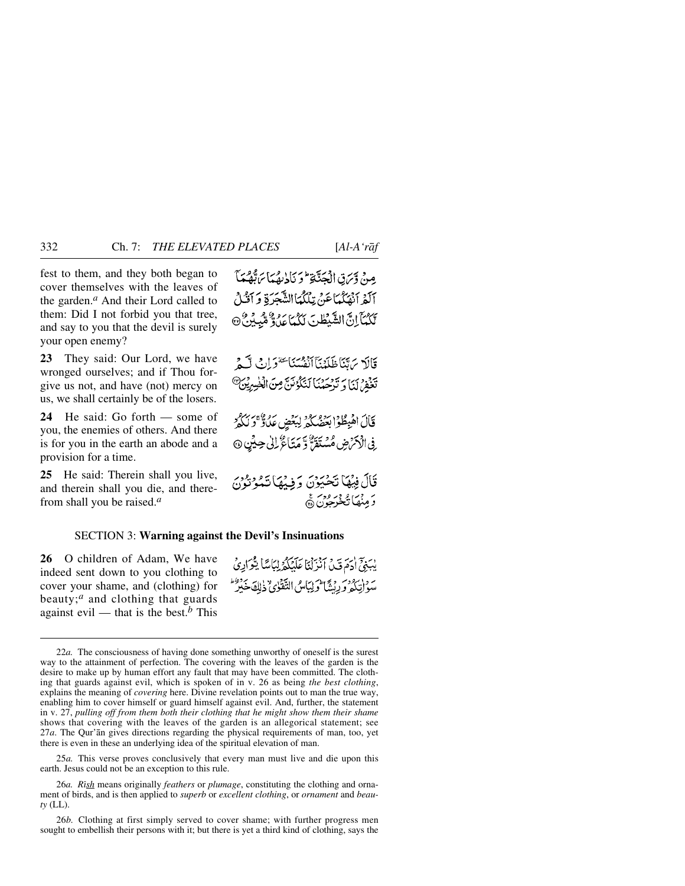fest to them, and they both began to cover themselves with the leaves of the garden.*<sup>a</sup>* And their Lord called to them: Did I not forbid you that tree, and say to you that the devil is surely your open enemy?

**23** They said: Our Lord, we have wronged ourselves; and if Thou forgive us not, and have (not) mercy on us, we shall certainly be of the losers.

**24** He said: Go forth — some of you, the enemies of others. And there is for you in the earth an abode and a provision for a time.

**25** He said: Therein shall you live, and therein shall you die, and therefrom shall you be raised.*<sup>a</sup>*

مِنْ وَسَنِّ الْمُحَتَّبَةِ ۖ وَيَبَادِيهُمَا سَنَّهُمْ مَدَّ آلَفِرآنَهُكُمَاعَنْ تِلْكُمَاالشَّجَرَةِ وَآَنَكُ لَكُمُّآ إِنَّ الشَّبْطُنَ لَكُمَّا عَدْوٌ مُّبِينٌ ۞

قَالَةَ يَرَبَّنَاظَلَنْذَآآنَفُسُنَا يَتَقَوَّانُ لَكَنَّ يَّذْهُرُ بِيَا وَ تَدْحَمْنَا لَنَكْوُنَنَّ مِنَ الْخَسِرِيْنَ<sup>@</sup>

قَالَ الْهِطُوْابِهِ وَمِعْدِ لِبَعْضٍ عَلَىٰ وَمِنْ رَمِ فِي الْأَمْرُضِ مُسْتَفَرٌّ وَّ مَنَاعٌ لِلْي حِيْنِ ۞

قَالَ فِيهُمَا تَحْيَوْنَ وَفِيلِهَا تَعْوَنُوْنَ ر وړئ موجه در ورسو<br>**د منها تخي** چون ه

### SECTION 3: **Warning against the Devil's Insinuations**

**26** O children of Adam, We have indeed sent down to you clothing to cover your shame, and (clothing) for beauty;*<sup>a</sup>* and clothing that guards against evil — that is the best.<sup>*b*</sup> This

بِيَبِيِّ أَدَمَدَتِهُ بِٱبْنِيْنَا عَلَيْكُمْ لِيَامِيًّا يَتَوَادِيُّ سَوْ إِنْكُمْ وَرِبْشَا وَلِيَاسُ التَّقْوٰيُّ ذٰلِكَ خَبْرٌ

25*a.* This verse proves conclusively that every man must live and die upon this earth. Jesus could not be an exception to this rule.

26*a. Rßsh* means originally *feathers* or *plumage*, constituting the clothing and ornament of birds, and is then applied to *superb* or *excellent clothing*, or *ornament* and *beauty* (LL).

26*b.* Clothing at first simply served to cover shame; with further progress men sought to embellish their persons with it; but there is yet a third kind of clothing, says the

<sup>22</sup>*a.* The consciousness of having done something unworthy of oneself is the surest way to the attainment of perfection. The covering with the leaves of the garden is the desire to make up by human effort any fault that may have been committed. The clothing that guards against evil, which is spoken of in v. 26 as being *the best clothing*, explains the meaning of *covering* here. Divine revelation points out to man the true way, enabling him to cover himself or guard himself against evil. And, further, the statement in v. 27, *pulling off from them both their clothing that he might show them their shame* shows that covering with the leaves of the garden is an allegorical statement; see 27*a*. The Qur'ån gives directions regarding the physical requirements of man, too, yet there is even in these an underlying idea of the spiritual elevation of man.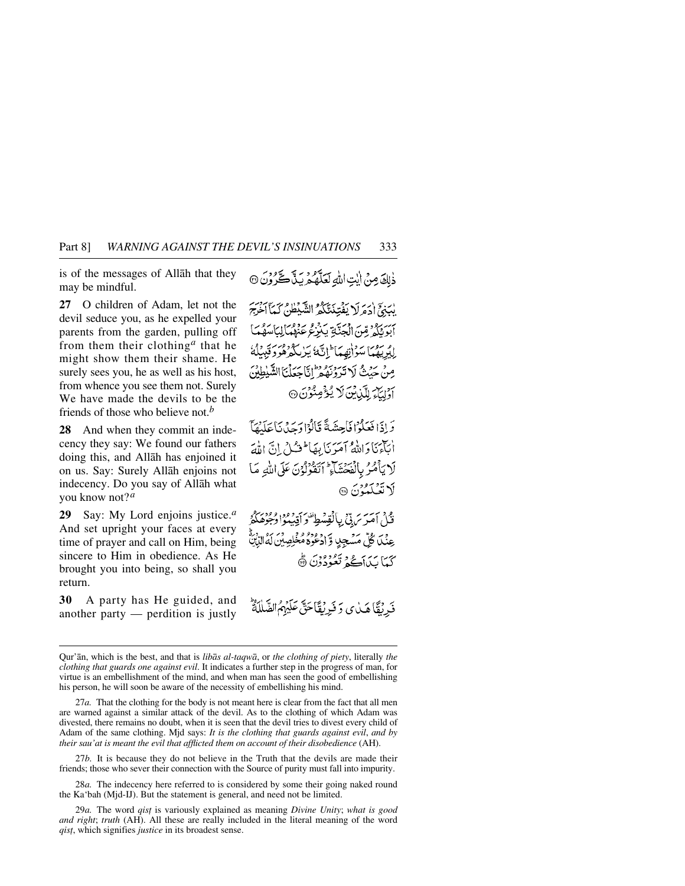is of the messages of Allåh that they may be mindful.

**27** O children of Adam, let not the devil seduce you, as he expelled your parents from the garden, pulling off from them their clothing*<sup>a</sup>* that he might show them their shame. He surely sees you, he as well as his host, from whence you see them not. Surely We have made the devils to be the friends of those who believe not.*<sup>b</sup>*

**28** And when they commit an indecency they say: We found our fathers doing this, and Allåh has enjoined it on us. Say: Surely Allåh enjoins not indecency. Do you say of Allåh what you know not?*<sup>a</sup>*

**29** Say: My Lord enjoins justice.*<sup>a</sup>* And set upright your faces at every time of prayer and call on Him, being sincere to Him in obedience. As He brought you into being, so shall you return.

**30** A party has He guided, and another party — perdition is justly

ذٰلِكَ مِنْ إِيْتِ اللَّهِ لَعَلَّهُ هُ رِبِّ لَكُنَّ وَنَ ۞

لِهَ، إِذْ هَ لَا يَفْتِذَبَّكُمْ الشَّيْطَيْنُ كَيِبَآ آخَرَ ۖ أَبْدِيَكُمْ مِّنَ الْجِنَّةِ بَنْزِعُ عَنْهُمَالِيَا سَهُمَا لِلْدِيهِمَا سَوْانِهِمَا ۖ إِنَّهَا بَيْرِ بِكُوْهُمَ وَقَبِيلُهُمْ مِنْ حَيْثُ لَا تَرَوْنَهُمْ إِنَّاجَعَلْنَا الشَّيْطِيْنَ أَوْلِيَآْءَ لِلَّيْنِايُنَ لَا يُؤْمِنُوْنَ۞

وَإِذَا فَعَلَوْا فَأَحِشَةً قَالَوْا وَحِدْنَا عَلَيْهَآ أبَآءَنَا دَامِلُهُ آمَدَنَا بِعَا لِمَسْنُ إِنَّ اللَّهَ لَا يَأْمُرُ بِالْفَحْشَاءِ ۖ أَتَقُوْلُوْنَ عَلَى اللَّهِ مَا لاتشكمۇنَ @

فَثْلُ أَمَرَ سَ بِيٍّ بِبِالْقِسْطِ وَ أَقِيبُواْ وُجُوْهَكُمْ عِنْكَا كُلِّ مَسْجِلٍ وَّادْعُوَهُ مُخْلِصِيْنَ لَهُ كَمَا بَدَاكُمْ تَعُوْدُوْنَ ۞

فَدِيْقًا هَيْايِ وَفَرِيْقًا حَقٌّ عَلَيْهِمُ الضَّلَلَةُ

27*b.* It is because they do not believe in the Truth that the devils are made their friends; those who sever their connection with the Source of purity must fall into impurity.

28*a.* The indecency here referred to is considered by some their going naked round the Ka'bah (Mjd-IJ). But the statement is general, and need not be limited.

29*a.* The word *qis∆* is variously explained as meaning *Divine Unity*; *what is good and right*; *truth* (AH). All these are really included in the literal meaning of the word *qist*, which signifies *justice* in its broadest sense.

Qur'ån, which is the best, and that is *libås al-taqwå*, or *the clothing of piety*, literally *the clothing that guards one against evil*. It indicates a further step in the progress of man, for virtue is an embellishment of the mind, and when man has seen the good of embellishing his person, he will soon be aware of the necessity of embellishing his mind.

<sup>27</sup>*a.* That the clothing for the body is not meant here is clear from the fact that all men are warned against a similar attack of the devil. As to the clothing of which Adam was divested, there remains no doubt, when it is seen that the devil tries to divest every child of Adam of the same clothing. Mjd says: *It is the clothing that guards against evil*, *and by their sau'at is meant the evil that afflicted them on account of their disobedience* (AH).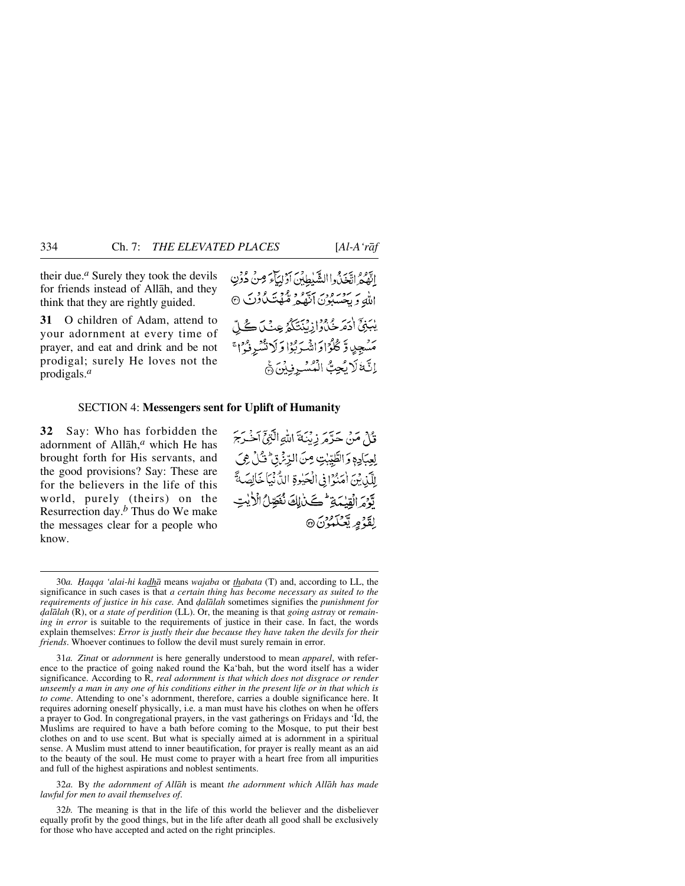their due.*<sup>a</sup>* Surely they took the devils for friends instead of Allåh, and they think that they are rightly guided.

**31** O children of Adam, attend to your adornment at every time of prayer, and eat and drink and be not prodigal; surely He loves not the prodigals.*<sup>a</sup>*

اتَّقْهُمْ اتَّغَيْدُواالشَّيْطِينَ أَدْلِيَاءَ مِنْ دُونِ الله وَ بِحِسْبُونَ أَنَّهُ وَ مُحَمَّنَتُ كُوْنَ ۞ يْبَنِيِّ أَدَمَرْ شَدّْ وَإِزْ يُبْتَكّْمُ عِنْكَ كُلّ مَسْجِدٍ وَّ كُلُّوۡاوَاتْسَوَيُوۡا وَلَا تُنْسَوْنُوۡا ۚ إِنَّةَ لَا يُحِبُّ الْمُسْرِفِيْنَ مَّ

#### SECTION 4: **Messengers sent for Uplift of Humanity**

**32** Say: Who has forbidden the adornment of Allåh,*<sup>a</sup>* which He has brought forth for His servants, and the good provisions? Say: These are for the believers in the life of this world, purely (theirs) on the Resurrection day.*<sup>b</sup>* Thus do We make the messages clear for a people who know.

قُالَ مَنْ حَدَّمَ زِيْنَةَ اللَّهِ الَّذِيِّ أَخْبَرَجَ لِعِبَادِهِ وَالطَّيِّبِٰتِ مِنَ الرِّئِنَّ ثُلُّ هِيَ للَّذِبْنَ أُمَنُوْا فِي الْعَيْوِةِ الدُّنْيَاخَالِصَةً تَوْمَ الْقِيْمَةِ مُسْكَيْرِلِكَ نُفَصِّلُ الْأَيْتِ لقَّةُ مِربَّعَ**كَهُ** بِنَ ۞

32*a.* By *the adornment of Allåh* is meant *the adornment which Allåh has made lawful for men to avail themselves of*.

32*b.* The meaning is that in the life of this world the believer and the disbeliever equally profit by the good things, but in the life after death all good shall be exclusively for those who have accepted and acted on the right principles.

<sup>30</sup>*a. Ïaqqa 'alai-hi kadhå* means *wajaba* or *thabata* (T) and, according to LL, the significance in such cases is that *a certain thing has become necessary as suited to the requirements of justice in his case.* And *˙alålah* sometimes signifies the *punishment for ˙alålah* (R), or *a state of perdition* (LL). Or, the meaning is that *going astray* or *remaining in error* is suitable to the requirements of justice in their case. In fact, the words explain themselves: *Error is justly their due because they have taken the devils for their friends*. Whoever continues to follow the devil must surely remain in error.

<sup>31</sup>*a. Zßnat* or *adornment* is here generally understood to mean *apparel*, with reference to the practice of going naked round the Ka'bah, but the word itself has a wider significance. According to R, *real adornment is that which does not disgrace or render unseemly a man in any one of his conditions either in the present life or in that which is to come*. Attending to one's adornment, therefore, carries a double significance here. It requires adorning oneself physically, i.e. a man must have his clothes on when he offers a prayer to God. In congregational prayers, in the vast gatherings on Fridays and 'Íd, the Muslims are required to have a bath before coming to the Mosque, to put their best clothes on and to use scent. But what is specially aimed at is adornment in a spiritual sense. A Muslim must attend to inner beautification, for prayer is really meant as an aid to the beauty of the soul. He must come to prayer with a heart free from all impurities and full of the highest aspirations and noblest sentiments.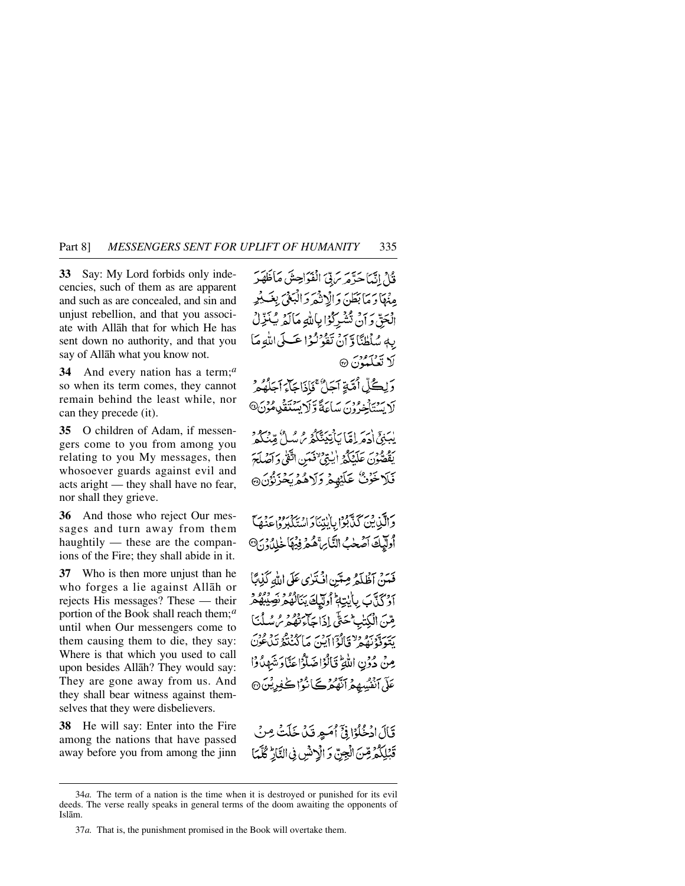**33** Say: My Lord forbids only indecencies, such of them as are apparent and such as are concealed, and sin and unjust rebellion, and that you associate with Allåh that for which He has sent down no authority, and that you say of Allåh what you know not.

**34** And every nation has a term;*<sup>a</sup>* so when its term comes, they cannot remain behind the least while, nor can they precede (it).

**35** O children of Adam, if messengers come to you from among you relating to you My messages, then whosoever guards against evil and acts aright — they shall have no fear, nor shall they grieve.

**36** And those who reject Our messages and turn away from them haughtily — these are the companions of the Fire; they shall abide in it.

**37** Who is then more unjust than he who forges a lie against Allåh or rejects His messages? These — their portion of the Book shall reach them;*<sup>a</sup>* until when Our messengers come to them causing them to die, they say: Where is that which you used to call upon besides Allåh? They would say: They are gone away from us. And they shall bear witness against themselves that they were disbelievers.

**38** He will say: Enter into the Fire among the nations that have passed away before you from among the jinn

فَيْلَ إِنَّهَا حَدَّهَ سَ بِيِّ الْفَوَاحِشَ مَاظَهَدَ مِنْهَا وَ مَا بَعَلْهُ، وَالْإِنْهُمْ وَالْبَغْيَ بِغَبِ بِمِهِ الْحَقّ وَأَنْ تَشْرِكُوْا بِاللّهِ مَالَمَ يُنَزِّلُ بِهِ سُلْطُنًا وَّ أَنْ تَقْرَنْزَا عَكَى اللَّهِ مَا **لَا تَعْلَمْوُنَ ۞** 

وَلِكُلِّ اُمَّةٍ آجَلٌ ۚ فَإِذَاجَآءَ آجَلُهُ مَرْ لَا يَبِينَاْخِرُونَ سَاعَةً وَّلَا يَسْتَقَلِّدِهُوْنَ®

يْسَنِيِّ (دَمَرَ إِمَّا) بِأَنِيَنِتَكُمْ مِنْ مِيْلٌ مِّينَكُمْ يَقْصَّونَ عَلَيْكُمْ إِيْنِيٌّ فَعَيْنِ اتَّفَىٰ وَآصُلَحَ فَلَاخَرْنُ عَلَيْهِمْ وَلَاهُمْ يَخْزِنُوْنَ@

دَالَّيْ بِنَ كَذَّبُوْا بِالْبِتِنَادِ اسْتَكْبُرُوا عَنْهَا أوليكَ آصَحْبُ النَّارِ، هُمْ فِيهَا خْلِدُونَ @

فَيَينْ آظُلَّهُ مِيَّتِنِ افْتَدْي عَلَى اللهِ كَذِبَنَا أَدْرَبَيْنَ بِالْيِتِهِ أُولَيْكَ يَنَالُهُ وَصِيْبُهُ مُرْ مِّينَ الْكِتٰبِ حَتَّى إِذَا جَاءَ تَقُومُ مُصْلَّعًا سىر تەرەپ دە بالۇلاين ماڭنىڭ تىدۇن<br>بېتونۇنۇمۇ مِنْ دُوِّنِ اللَّهِ ۖ قَالُوْاضَلُّوْاعَنَّا دَشَهْدُوْا عَلَّى آنْفُسِهِمْ آنَّهُمْ كَأَنُوا كُلِّونِيْنَ ۞

قَالَ ادْخُلُوْا فِيَّ أُمَيْهِ قَدْ خَلَتْ مِنْ قَبْلِكُمْ قِنَ الْجِنّ وَ الْإِنْشِ فِي النَّارِ كُلَّمَا

<sup>34</sup>*a.* The term of a nation is the time when it is destroyed or punished for its evil deeds. The verse really speaks in general terms of the doom awaiting the opponents of Islåm.

<sup>37</sup>*a.* That is, the punishment promised in the Book will overtake them.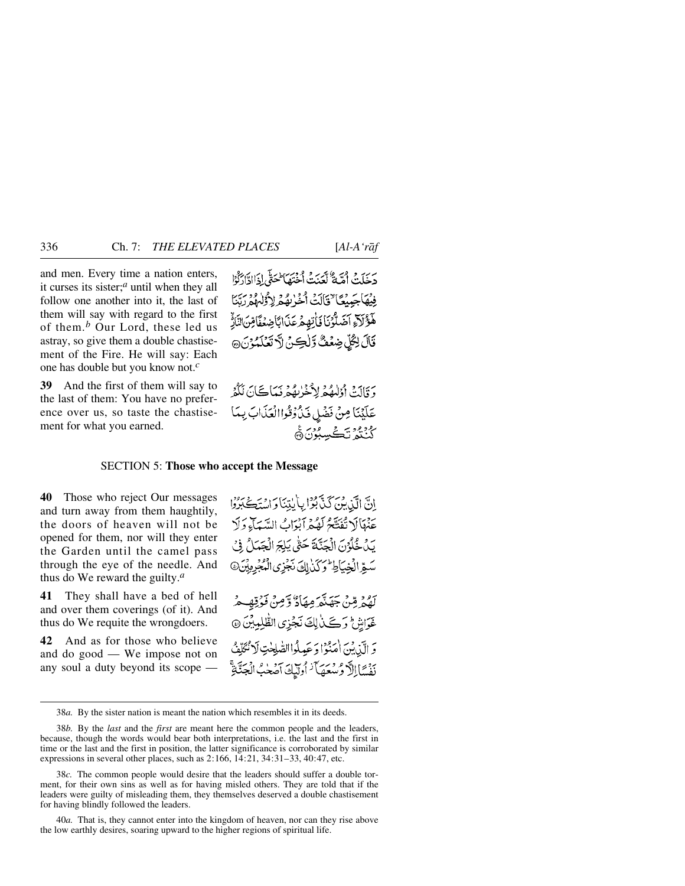and men. Every time a nation enters, it curses its sister;*<sup>a</sup>* until when they all follow one another into it, the last of them will say with regard to the first of them.*<sup>b</sup>* Our Lord, these led us astray, so give them a double chastisement of the Fire. He will say: Each one has double but you know not.*<sup>c</sup>*

**39** And the first of them will say to the last of them: You have no preference over us, so taste the chastisement for what you earned.

حرَبِ فَيَ اُمَّةٌ لَكَّدَيْهُ وُمُحَيٍّ الْمَحَقَّى إِذَاادَّادَكُوْا فِيْهَاجَيْنَعَا ٌ قَالَتْ أَخْرُبِهُمْ لِأَوُلْهُمْ رَبَّنَا هَؤُلَاءِ آضَلَّوُنَا فَأْتِهِمْ عَذَابًا ضِعْفَا مِّنَ النَّارُ قَالَ لِكُلِّ ضِعُفٌ وَّلْكِنَّ لَا تَعْلَمُوْنَ۞

دَ وَّالَتْ أَوْلَٰهُمْ لِأَخْرُبِهُمْ نَبَيَاتَكَانَ لَكُوْ عَلَيْنَا مِنْ فَضْلِ فَذُوْقُواالْعَذَابَ بِيدَا *ڴڹ*۠ؽؙۯؾۘڴڛڹۯڽۿ

#### SECTION 5: **Those who accept the Message**

**40** Those who reject Our messages and turn away from them haughtily, the doors of heaven will not be opened for them, nor will they enter the Garden until the camel pass through the eye of the needle. And thus do We reward the guilty.*<sup>a</sup>*

**41** They shall have a bed of hell and over them coverings (of it). And thus do We requite the wrongdoers.

**42** And as for those who believe and do good — We impose not on any soul a duty beyond its scope — اِنَّ الَّذِينَ كَذَّبُوْا بِأَيْدِنَا وَاسْتَكْبَرُوْا عَنْهَالَا تُفَتَّحُ لَهُمْ آبْدَابُ السَّبَآءِ وَلَا يَنْ خُلُوْنَ الْحَنَّةَ حَتَّى يَلِجَ الْجَبَدَانُ فِي سَّقِرَ الْخِيَاطِ وَكَذِلِكَ نَجْزِي الْمُجْرِمِيْنَ @

لِهُمْ مِّنْ جَهَنَّهَ مِهَادٌ وَّمِنْ فَوُقِهِهِمْ غَوَاشِ وَكَيْنَ لِكَ نَجْزِي الطّْلِمِيْنَ ۞ وَ الَّيْدِينَ (مَنْوَا دَ عَبِدِلُواالصَّلِحْتِ لَا نُكَلِّفُ نَفْسًا الرَّ وُسْعَصَاً ۚ أُولَيْكَ آصَحْبُ الْجَنَّاةِ ۚ

40*a.* That is, they cannot enter into the kingdom of heaven, nor can they rise above the low earthly desires, soaring upward to the higher regions of spiritual life.

<sup>38</sup>*a.* By the sister nation is meant the nation which resembles it in its deeds.

<sup>38</sup>*b.* By the *last* and the *first* are meant here the common people and the leaders, because, though the words would bear both interpretations, i.e. the last and the first in time or the last and the first in position, the latter significance is corroborated by similar expressions in several other places, such as 2:166, 14:21, 34:31–33, 40:47, etc.

<sup>38</sup>*c.* The common people would desire that the leaders should suffer a double torment, for their own sins as well as for having misled others. They are told that if the leaders were guilty of misleading them, they themselves deserved a double chastisement for having blindly followed the leaders.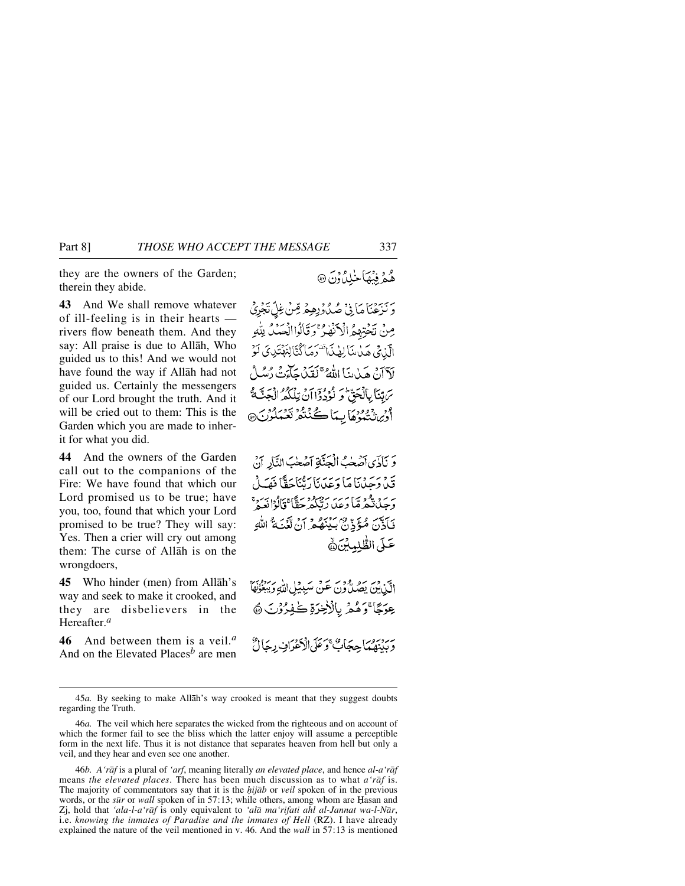they are the owners of the Garden; therein they abide.

**43** And We shall remove whatever of ill-feeling is in their hearts rivers flow beneath them. And they say: All praise is due to Allåh, Who guided us to this! And we would not have found the way if Allåh had not guided us. Certainly the messengers of our Lord brought the truth. And it will be cried out to them: This is the Garden which you are made to inherit for what you did.

**44** And the owners of the Garden call out to the companions of the Fire: We have found that which our Lord promised us to be true; have you, too, found that which your Lord promised to be true? They will say: Yes. Then a crier will cry out among them: The curse of Allåh is on the wrongdoers,

**45** Who hinder (men) from Allåh's way and seek to make it crooked, and they are disbelievers in the Hereafter.*<sup>a</sup>*

**46** And between them is a veil.*<sup>a</sup>* And on the Elevated Places*<sup>b</sup>* are men هُمْ فِيْهَا خُلِلٌ وَنَ @

رْبَهَنَّ مَانِيْ صُدُوْرِهِمْ مِّنْ غِلِّ نَجْرِيْ مِنْ نَخْتِهِمُ الْأَنْهٰرُ ۚ وَقَالُوا الْحَدُّدُ لِلَّهِ الَّذِيِّ هَذِينَا لِهٰذَا تَسَوَّمَا كُنَّا لِنَهْتَدِيَ لَوْ لَأَأَنَّ هَدٰاتِنَا اللَّهُ ۚ لَقَدْا حَآءَتُ دُسُرُ سُ بِّيَا بِالْحَقِّ وِ نُوُدُدًا]نُ تِلْكُمُهُ الْجَ افر شيود و و آيها ڪُنٽُمُ تَعْمَلُونَ،

وَ نَاذَى أَصَّحْبُ الْجَنَّاةِ أَصْحٰبَ النَّارِ أَنْ قَدْ دَحَدْنَا مَا دَعَدَنَا رَمَّنَاجَقًا فَهَـٰلُ بَرِيدُهِ ثُمَّرَهُمَا دَعِيدُ رَبُّكُمْ حَقَّا ۚ قَالُوْا نَعِيمُ ۚ فَأَذَنَ مُؤَذِّنٌ بَيْنَهُمْ أَنْ تَغُنَةُ اللَّهِ عَلَى الطَّلِمِلِينَ@

الآن ين يصُدُّونَ عَنْ سَبِيْلِ اللَّهِ وَيَبْنُوْنَهَا عِوَجًا ۚوَهُمۡ بِالۡأَخِرَةِ كَٰفِرُوۡنَ ﴾ بر بر من الحياء الحقي الأغراف ديئالٌ

46*b. A'råf* is a plural of *'arf*, meaning literally *an elevated place*, and hence *al-a'råf* means *the elevated places*. There has been much discussion as to what *a'råf* is. The majority of commentators say that it is the *√ijåb* or *veil* spoken of in the previous words, or the *sūr* or *wall* spoken of in 57:13; while others, among whom are Hasan and Zj, hold that *'ala-l-a'råf* is only equivalent to *'alå ma'rifati ahl al-Jannat wa-l-Når*, i.e. *knowing the inmates of Paradise and the inmates of Hell* (RZ). I have already explained the nature of the veil mentioned in v. 46. And the *wall* in 57:13 is mentioned

<sup>45</sup>*a.* By seeking to make Allåh's way crooked is meant that they suggest doubts regarding the Truth.

<sup>46</sup>*a.* The veil which here separates the wicked from the righteous and on account of which the former fail to see the bliss which the latter enjoy will assume a perceptible form in the next life. Thus it is not distance that separates heaven from hell but only a veil, and they hear and even see one another.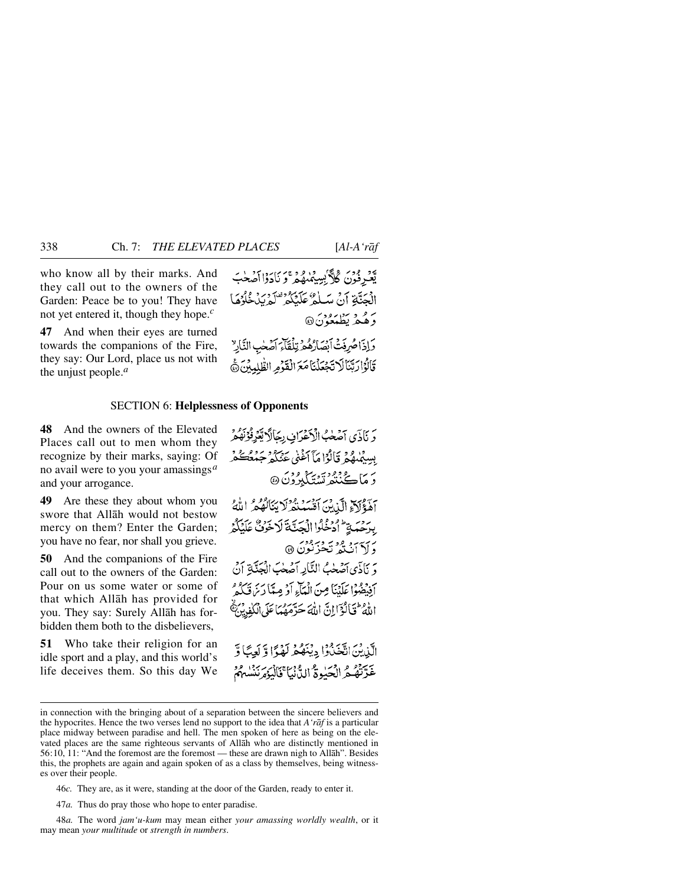who know all by their marks. And they call out to the owners of the Garden: Peace be to you! They have not yet entered it, though they hope.*<sup>c</sup>*

**47** And when their eyes are turned towards the companions of the Fire, they say: Our Lord, place us not with the unjust people.*<sup>a</sup>*

يَّعْبُّهُ فَوَنَ گُلاَّ بِسِيمْنِهُمْ وَ نَادَوْاأَصْحٰبَ الْحَنَّةِ أَنْ مَبِلَّهُ عَلَيْكُمْ تَلْمَ بِدَٰهُوُهَا برو د سوره.<br>د هغه نظيم**ن**دن6 وَإِذَاحُرِفَتْ أَبْصَارُهُمْ تِلْقَاءَ أَصْحٰبِ النَّارِ

قَالُوْارَبِّنَالَاتَجُعَلْنَا مَعَ الْقَوْمِ الظَّلِمِينَ ﴾

SECTION 6: **Helplessness of Opponents**

**48** And the owners of the Elevated Places call out to men whom they recognize by their marks, saying: Of no avail were to you your amassings*<sup>a</sup>* and your arrogance.

**49** Are these they about whom you swore that Allåh would not bestow mercy on them? Enter the Garden; you have no fear, nor shall you grieve.

**50** And the companions of the Fire call out to the owners of the Garden: Pour on us some water or some of that which Allåh has provided for you. They say: Surely Allåh has forbidden them both to the disbelievers,

**51** Who take their religion for an idle sport and a play, and this world's life deceives them. So this day We

وَ نَاذَى آصَٰحْبُ الْأَعْرَافِ بِجَالًا بَّعْزِفُوْنَهُمْ بِسِيْمُهِمْ وَيَأْلُوْا مَآ أَغْنَى عَنْكُمْ جَهْعُتُكُمْ ر مَاڪُنٽُھ تَسۡتَنَگَبُرُوۡنَ۞ آهُؤَلَاْءِ الَّذِينَ أَقْسَبُنْدُلَا يَنَالُهُمْ اللَّهُ ببرحمة ادخلوا الجتنة لاخرق عَلَيْكُمْ رۍ د وو نه دېږور.<br>د لا ان ته تخرنون @ دَ نَاذَى أَصْلَبْ النَّارِ أَصْلَبَ الْجِنَّةِ أَنْ أَفِيضُوا عَلَيْنَا مِنَ الْمَآءِ أَدْ مِيَّا دَيْرَ قَبَكُمْ اللَّهُ ۖ فَيَأْلَوۡٓ إِنَّ اللَّهَ حَدَّهَهُمَا عَلَى ٱلۡكَٰفِيۡ يَهُمۡ الَّذِينَ انْتَخَذُوْا حِيَنَهُمْ لَهُدًا وَّ لَعِيثًا وَّ غَدَّتْهُمُّ الْحَيْوَةُ الدُّنْيَا فَالْيَوْمِرْنَسْلَهُمْ

47*a.* Thus do pray those who hope to enter paradise.

48*a.* The word *jam'u-kum* may mean either *your amassing worldly wealth*, or it may mean *your multitude* or *strength in numbers*.

in connection with the bringing about of a separation between the sincere believers and the hypocrites. Hence the two verses lend no support to the idea that *A'råf* is a particular place midway between paradise and hell. The men spoken of here as being on the elevated places are the same righteous servants of Allåh who are distinctly mentioned in 56:10, 11: "And the foremost are the foremost — these are drawn nigh to Allåh". Besides this, the prophets are again and again spoken of as a class by themselves, being witnesses over their people.

<sup>46</sup>*c.* They are, as it were, standing at the door of the Garden, ready to enter it.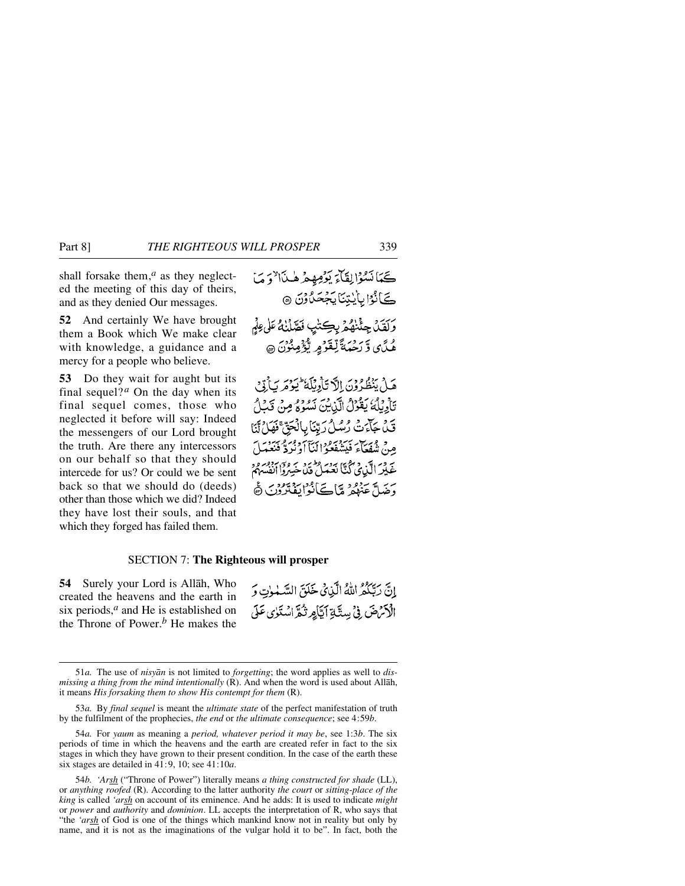shall forsake them,*<sup>a</sup>* as they neglected the meeting of this day of theirs, and as they denied Our messages.

**52** And certainly We have brought them a Book which We make clear with knowledge, a guidance and a mercy for a people who believe.

**53** Do they wait for aught but its final sequel?<sup>*a*</sup> On the day when its final sequel comes, those who neglected it before will say: Indeed the messengers of our Lord brought the truth. Are there any intercessors on our behalf so that they should intercede for us? Or could we be sent back so that we should do (deeds) other than those which we did? Indeed they have lost their souls, and that which they forged has failed them.

### SECTION 7: **The Righteous will prosper**

**54** Surely your Lord is Allåh, Who created the heavens and the earth in six periods,*<sup>a</sup>* and He is established on the Throne of Power.*<sup>b</sup>* He makes the

إِنَّ رَبِّكُمُ اللَّهُ الَّذِينَ خَلَقَ السَّبْوٰتِ وَ الْأَمْرَضَ فِي بِيتَيَّةِ أَيَّامِرِ تُكَرَّ اسْتَوٰى عَلَى

<sup>51</sup>*a.* The use of *nisyån* is not limited to *forgetting*; the word applies as well to *dismissing a thing from the mind intentionally* (R). And when the word is used about Allåh, it means *His forsaking them to show His contempt for them* (R).

<sup>53</sup>*a.* By *final sequel* is meant the *ultimate state* of the perfect manifestation of truth by the fulfilment of the prophecies, *the end* or *the ultimate consequence*; see 4:59*b*.

<sup>54</sup>*a.* For *yaum* as meaning a *period, whatever period it may be*, see 1:3*b*. The six periods of time in which the heavens and the earth are created refer in fact to the six stages in which they have grown to their present condition. In the case of the earth these six stages are detailed in 41:9, 10; see 41:10*a*.

<sup>54</sup>*b. 'Arsh* ("Throne of Power") literally means *a thing constructed for shade* (LL), or *anything roofed* (R). According to the latter authority *the court* or *sitting-place of the king* is called *'arsh* on account of its eminence. And he adds: It is used to indicate *might* or *power* and *authority* and *dominion*. LL accepts the interpretation of R, who says that "the *'arsh* of God is one of the things which mankind know not in reality but only by name, and it is not as the imaginations of the vulgar hold it to be". In fact, both the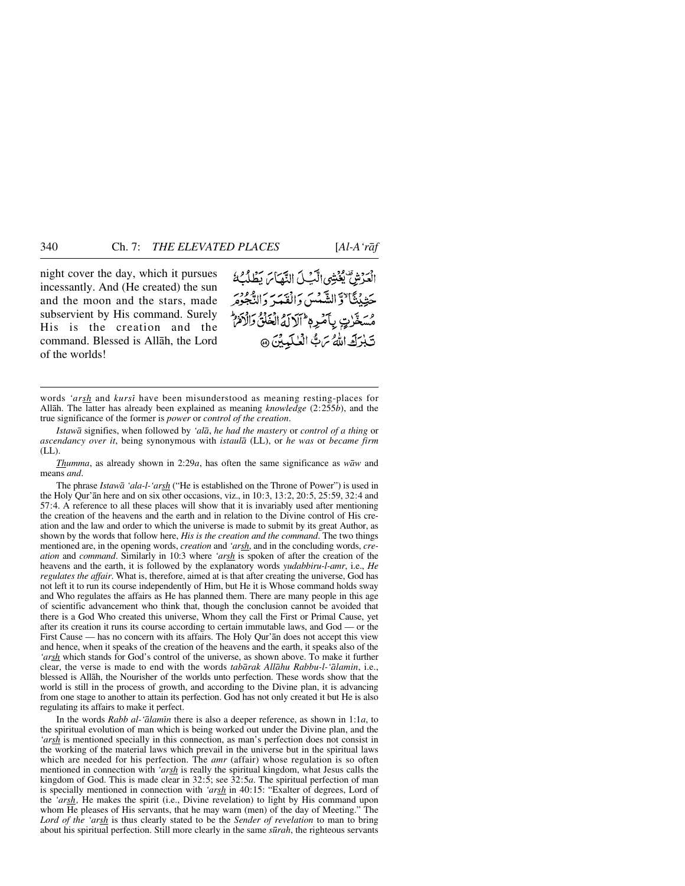night cover the day, which it pursues incessantly. And (He created) the sun and the moon and the stars, made subservient by His command. Surely His is the creation and the command. Blessed is Allåh, the Lord of the worlds!

الْعَرْشِ يُغْتِبُي الَّبِّيلَ النَّهَاسَ يَطْلُبُ ۚ حَيْنِيْتَنَا ٌوَّالشَّعْسَ دَالْفَعَهِ دَالْعَصْرَ مُسَخَّرِيٍّ بِأَمْرِهِ ۚ أَلَالَهُ الْخَلْقُ وَالْأَمْرُ تَبْرَكَ اللَّهُ تَرَبُّ الْعُلَيِيْنَ @

*Istawå* signifies, when followed by *'alå*, *he had the mastery* or *control of a thing* or *ascendancy over it*, being synonymous with *istaulå* (LL), or *he was* or *became firm*  $(LL)$ .

*Thumma*, as already shown in 2:29*a*, has often the same significance as *wåw* and means *and*.

The phrase *Istawå 'ala-l-'arsh* ("He is established on the Throne of Power") is used in the Holy Qur'ån here and on six other occasions, viz., in 10:3, 13:2, 20:5, 25:59, 32:4 and 57:4. A reference to all these places will show that it is invariably used after mentioning the creation of the heavens and the earth and in relation to the Divine control of His creation and the law and order to which the universe is made to submit by its great Author, as shown by the words that follow here, *His is the creation and the command*. The two things mentioned are, in the opening words, *creation* and *'arsh*, and in the concluding words, *creation* and *command*. Similarly in 10:3 where *'arsh* is spoken of after the creation of the heavens and the earth, it is followed by the explanatory words *yudabbiru-l-amr*, i.e., *He regulates the affair*. What is, therefore, aimed at is that after creating the universe, God has not left it to run its course independently of Him, but He it is Whose command holds sway and Who regulates the affairs as He has planned them. There are many people in this age of scientific advancement who think that, though the conclusion cannot be avoided that there is a God Who created this universe, Whom they call the First or Primal Cause, yet after its creation it runs its course according to certain immutable laws, and God — or the First Cause — has no concern with its affairs. The Holy Qur'ån does not accept this view and hence, when it speaks of the creation of the heavens and the earth, it speaks also of the *'arsh* which stands for God's control of the universe, as shown above. To make it further clear, the verse is made to end with the words *tabårak Allåhu Rabbu-l-'ålamin*, i.e., blessed is Allåh, the Nourisher of the worlds unto perfection. These words show that the world is still in the process of growth, and according to the Divine plan, it is advancing from one stage to another to attain its perfection. God has not only created it but He is also regulating its affairs to make it perfect.

In the words *Rabb al-'ālamīn* there is also a deeper reference, as shown in 1:1*a*, to the spiritual evolution of man which is being worked out under the Divine plan, and the *'arsh* is mentioned specially in this connection, as man's perfection does not consist in the working of the material laws which prevail in the universe but in the spiritual laws which are needed for his perfection. The *amr* (affair) whose regulation is so often mentioned in connection with *'arsh* is really the spiritual kingdom, what Jesus calls the kingdom of God. This is made clear in 32:5; see 32:5*a*. The spiritual perfection of man is specially mentioned in connection with *'arsh* in 40:15: "Exalter of degrees, Lord of the *'arsh,* He makes the spirit (i.e., Divine revelation) to light by His command upon whom He pleases of His servants, that he may warn (men) of the day of Meeting." The *Lord of the 'arsh* is thus clearly stated to be the *Sender of revelation* to man to bring about his spiritual perfection. Still more clearly in the same *s∂rah*, the righteous servants

words *'arsh* and *kursß* have been misunderstood as meaning resting-places for Allåh. The latter has already been explained as meaning *knowledge* (2:255*b*), and the true significance of the former is *power* or *control of the creation*.